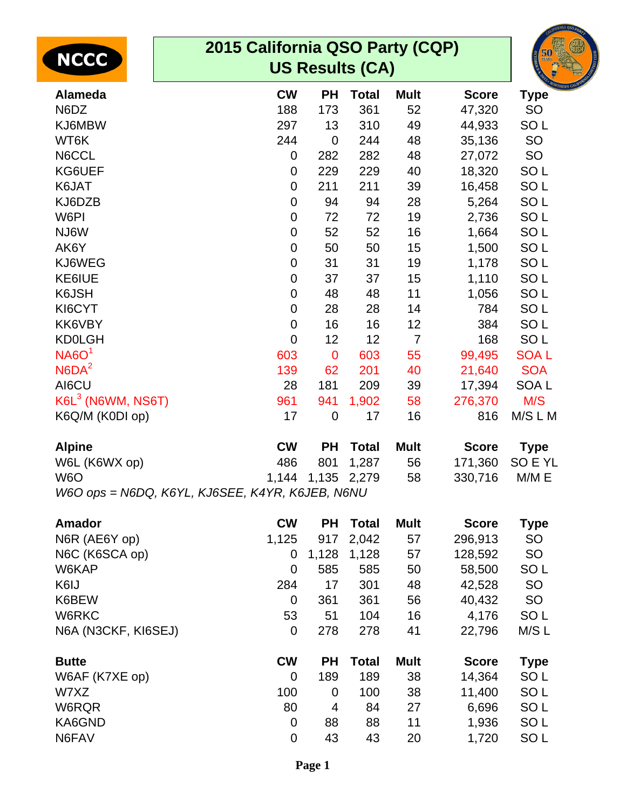| 2015 California QSO Party (CQP)<br><b>NCCC</b><br><b>US Results (CA)</b> |                |                |              |                |              |                  |  |  |
|--------------------------------------------------------------------------|----------------|----------------|--------------|----------------|--------------|------------------|--|--|
| <b>Alameda</b>                                                           | <b>CW</b>      | <b>PH</b>      | <b>Total</b> | <b>Mult</b>    | <b>Score</b> | <b>Type</b>      |  |  |
| N6DZ                                                                     | 188            | 173            | 361          | 52             | 47,320       | SO               |  |  |
| KJ6MBW                                                                   | 297            | 13             | 310          | 49             | 44,933       | SO <sub>L</sub>  |  |  |
| WT6K                                                                     | 244            | $\overline{0}$ | 244          | 48             | 35,136       | SO               |  |  |
| N6CCL                                                                    | $\mathbf 0$    | 282            | 282          | 48             | 27,072       | SO               |  |  |
| KG6UEF                                                                   | $\mathbf 0$    | 229            | 229          | 40             | 18,320       | SO <sub>L</sub>  |  |  |
| K6JAT                                                                    | $\mathbf 0$    | 211            | 211          | 39             | 16,458       | SO <sub>L</sub>  |  |  |
| KJ6DZB                                                                   | $\mathbf 0$    | 94             | 94           | 28             | 5,264        | SO <sub>L</sub>  |  |  |
| W6PI                                                                     | $\mathbf 0$    | 72             | 72           | 19             | 2,736        | SO <sub>L</sub>  |  |  |
| NJ6W                                                                     | $\mathbf 0$    | 52             | 52           | 16             | 1,664        | SO <sub>L</sub>  |  |  |
| AK6Y                                                                     | $\mathbf 0$    | 50             | 50           | 15             | 1,500        | SO <sub>L</sub>  |  |  |
| KJ6WEG                                                                   | $\mathbf 0$    | 31             | 31           | 19             | 1,178        | SO <sub>L</sub>  |  |  |
| KE6IUE                                                                   | $\mathbf 0$    | 37             | 37           | 15             | 1,110        | SO <sub>L</sub>  |  |  |
| K6JSH                                                                    | $\mathbf 0$    | 48             | 48           | 11             | 1,056        | SO <sub>L</sub>  |  |  |
| KI6CYT                                                                   | $\mathbf 0$    | 28             | 28           | 14             | 784          | SO <sub>L</sub>  |  |  |
| KK6VBY                                                                   | $\mathbf 0$    | 16             | 16           | 12             | 384          | SO <sub>L</sub>  |  |  |
| <b>KD0LGH</b>                                                            | $\mathbf 0$    | 12             | 12           | $\overline{7}$ | 168          | SO <sub>L</sub>  |  |  |
| NA6O <sup>1</sup>                                                        | 603            | $\overline{0}$ | 603          | 55             | 99,495       | <b>SOAL</b>      |  |  |
| N6DA <sup>2</sup>                                                        | 139            | 62             | 201          | 40             | 21,640       | <b>SOA</b>       |  |  |
| AI6CU                                                                    | 28             | 181            | 209          | 39             | 17,394       | SOA <sub>L</sub> |  |  |
| $K6L3$ (N6WM, NS6T)                                                      | 961            | 941            | 1,902        | 58             | 276,370      | M/S              |  |  |
| K6Q/M (K0DI op)                                                          | 17             | $\mathbf 0$    | 17           | 16             | 816          | M/S L M          |  |  |
| <b>Alpine</b>                                                            | <b>CW</b>      | <b>PH</b>      | <b>Total</b> | <b>Mult</b>    | <b>Score</b> | <b>Type</b>      |  |  |
| W6L (K6WX op)                                                            | 486            | 801            | 1,287        | 56             | 171,360      | SO E YL          |  |  |
| W <sub>6</sub> O                                                         | 1,144          | 1,135          | 2,279        | 58             | 330,716      | M/M E            |  |  |
| W6O ops = N6DQ, K6YL, KJ6SEE, K4YR, K6JEB, N6NU                          |                |                |              |                |              |                  |  |  |
| <b>Amador</b>                                                            | <b>CW</b>      | PH             | <b>Total</b> | <b>Mult</b>    | <b>Score</b> | <b>Type</b>      |  |  |
| N6R (AE6Y op)                                                            | 1,125          | 917            | 2,042        | 57             | 296,913      | SO               |  |  |
| N6C (K6SCA op)                                                           | 0              | 1,128          | 1,128        | 57             | 128,592      | SO               |  |  |
| W6KAP                                                                    | $\overline{0}$ | 585            | 585          | 50             | 58,500       | SO <sub>L</sub>  |  |  |
| K6IJ                                                                     | 284            | 17             | 301          | 48             | 42,528       | SO               |  |  |
| K6BEW                                                                    | 0              | 361            | 361          | 56             | 40,432       | SO               |  |  |
| W6RKC                                                                    | 53             | 51             | 104          | 16             | 4,176        | SO <sub>L</sub>  |  |  |
| N6A (N3CKF, KI6SEJ)                                                      | $\mathbf 0$    | 278            | 278          | 41             | 22,796       | M/S L            |  |  |
| <b>Butte</b>                                                             | <b>CW</b>      | <b>PH</b>      | <b>Total</b> | <b>Mult</b>    | <b>Score</b> | <b>Type</b>      |  |  |
| W6AF (K7XE op)                                                           | $\mathbf 0$    | 189            | 189          | 38             | 14,364       | SO <sub>L</sub>  |  |  |
| W7XZ                                                                     | 100            | 0              | 100          | 38             | 11,400       | SO <sub>L</sub>  |  |  |
| W6RQR                                                                    | 80             | 4              | 84           | 27             | 6,696        | SO <sub>L</sub>  |  |  |
| KA6GND                                                                   | $\mathbf 0$    | 88             | 88           | 11             | 1,936        | SO <sub>L</sub>  |  |  |
| N6FAV                                                                    | $\mathbf 0$    | 43             | 43           | 20             | 1,720        | SO <sub>L</sub>  |  |  |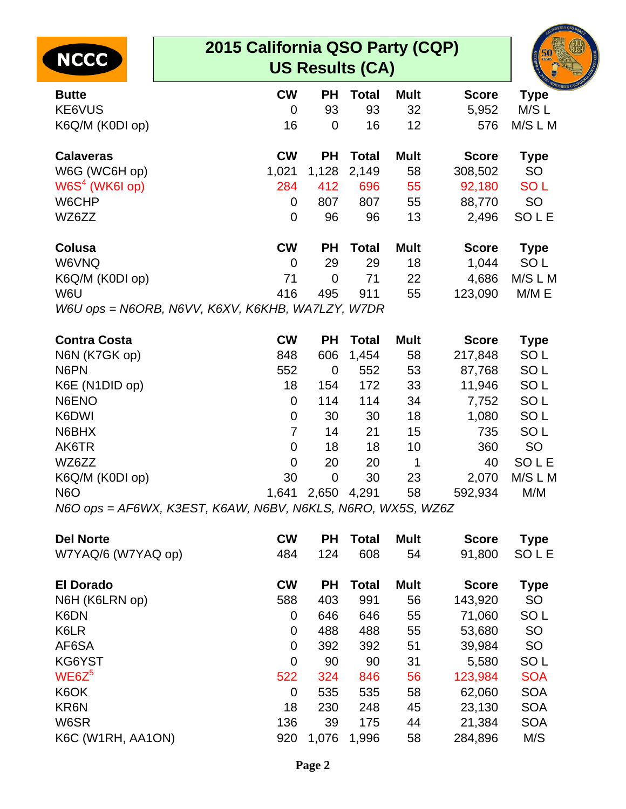| <b>NCCC</b>         | 2015 California QSO Party (CQP)                             |                   |                        |             |              |                 |  |  |  |  |
|---------------------|-------------------------------------------------------------|-------------------|------------------------|-------------|--------------|-----------------|--|--|--|--|
|                     |                                                             |                   | <b>US Results (CA)</b> |             |              |                 |  |  |  |  |
| <b>Butte</b>        | <b>CW</b>                                                   | <b>PH</b>         | <b>Total</b>           | <b>Mult</b> | <b>Score</b> | <b>Type</b>     |  |  |  |  |
| KE6VUS              | $\mathbf 0$                                                 | 93                | 93                     | 32          | 5,952        | M/SL            |  |  |  |  |
| K6Q/M (K0DI op)     | 16                                                          | $\overline{0}$    | 16                     | 12          | 576          | M/S L M         |  |  |  |  |
| <b>Calaveras</b>    | <b>CW</b>                                                   | <b>PH</b>         | <b>Total</b>           | <b>Mult</b> | <b>Score</b> | <b>Type</b>     |  |  |  |  |
| W6G (WC6H op)       | 1,021                                                       | 1,128             | 2,149                  | 58          | 308,502      | <b>SO</b>       |  |  |  |  |
| $W6S4$ (WK6I op)    | 284                                                         | 412               | 696                    | 55          | 92,180       | SO <sub>L</sub> |  |  |  |  |
| W6CHP               | $\mathbf 0$                                                 | 807               | 807                    | 55          | 88,770       | <b>SO</b>       |  |  |  |  |
| WZ6ZZ               | $\mathbf 0$                                                 | 96                | 96                     | 13          | 2,496        | SOLE            |  |  |  |  |
| <b>Colusa</b>       | <b>CW</b>                                                   | <b>PH</b>         | <b>Total</b>           | <b>Mult</b> | <b>Score</b> | <b>Type</b>     |  |  |  |  |
| W6VNQ               | $\overline{0}$                                              | 29                | 29                     | 18          | 1,044        | SO <sub>L</sub> |  |  |  |  |
| K6Q/M (K0DI op)     | 71                                                          | $\overline{0}$    | 71                     | 22          | 4,686        | M/S L M         |  |  |  |  |
| W6U                 | 416                                                         | 495               | 911                    | 55          | 123,090      | M/M E           |  |  |  |  |
|                     | W6U ops = N6ORB, N6VV, K6XV, K6KHB, WA7LZY, W7DR            |                   |                        |             |              |                 |  |  |  |  |
| <b>Contra Costa</b> | <b>CW</b>                                                   | <b>PH</b>         | <b>Total</b>           | <b>Mult</b> | <b>Score</b> | <b>Type</b>     |  |  |  |  |
| N6N (K7GK op)       | 848                                                         | 606               | 1,454                  | 58          | 217,848      | SO <sub>L</sub> |  |  |  |  |
| N6PN                | 552                                                         | $\overline{0}$    | 552                    | 53          | 87,768       | SO <sub>L</sub> |  |  |  |  |
| K6E (N1DID op)      | 18                                                          | 154               | 172                    | 33          | 11,946       | SO <sub>L</sub> |  |  |  |  |
| N6ENO               | $\mathbf 0$                                                 | 114               | 114                    | 34          | 7,752        | SO <sub>L</sub> |  |  |  |  |
| K6DWI               | $\mathbf 0$                                                 | 30                | 30                     | 18          | 1,080        | SO <sub>L</sub> |  |  |  |  |
| N6BHX               | $\overline{7}$                                              | 14                | 21                     | 15          | 735          | SO <sub>L</sub> |  |  |  |  |
| AK6TR               | $\mathbf 0$                                                 | 18                | 18                     | 10          | 360          | <b>SO</b>       |  |  |  |  |
| WZ6ZZ               | $\mathbf 0$                                                 | 20                | 20                     | 1           | 40           | SOLE            |  |  |  |  |
| K6Q/M (K0DI op)     | 30                                                          | $\Omega$          | 30                     | 23          | 2,070        | M/S L M         |  |  |  |  |
| N <sub>6</sub> O    |                                                             | 1,641 2,650 4,291 |                        | 58          | 592,934      | M/M             |  |  |  |  |
|                     | N6O ops = AF6WX, K3EST, K6AW, N6BV, N6KLS, N6RO, WX5S, WZ6Z |                   |                        |             |              |                 |  |  |  |  |
| <b>Del Norte</b>    | <b>CW</b>                                                   | <b>PH</b>         | <b>Total</b>           | <b>Mult</b> | <b>Score</b> | <b>Type</b>     |  |  |  |  |
| W7YAQ/6 (W7YAQ op)  | 484                                                         | 124               | 608                    | 54          | 91,800       | SOLE            |  |  |  |  |
| <b>El Dorado</b>    | <b>CW</b>                                                   | <b>PH</b>         | <b>Total</b>           | <b>Mult</b> | <b>Score</b> | <b>Type</b>     |  |  |  |  |
| N6H (K6LRN op)      | 588                                                         | 403               | 991                    | 56          | 143,920      | <b>SO</b>       |  |  |  |  |
| K6DN                | 0                                                           | 646               | 646                    | 55          | 71,060       | SO <sub>L</sub> |  |  |  |  |
| K6LR                | $\mathbf 0$                                                 | 488               | 488                    | 55          | 53,680       | <b>SO</b>       |  |  |  |  |
| AF6SA               | 0                                                           | 392               | 392                    | 51          | 39,984       | <b>SO</b>       |  |  |  |  |
| KG6YST              | $\mathbf 0$                                                 | 90                | 90                     | 31          | 5,580        | SO <sub>L</sub> |  |  |  |  |
| $WE6Z^5$            | 522                                                         | 324               | 846                    | 56          | 123,984      | <b>SOA</b>      |  |  |  |  |
| K6OK                | $\overline{0}$                                              | 535               | 535                    | 58          | 62,060       | <b>SOA</b>      |  |  |  |  |
| KR6N                | 18                                                          | 230               | 248                    | 45          | 23,130       | <b>SOA</b>      |  |  |  |  |
| W6SR                | 136                                                         | 39                | 175                    | 44          | 21,384       | <b>SOA</b>      |  |  |  |  |
| K6C (W1RH, AA1ON)   | 920                                                         | 1,076             | 1,996                  | 58          | 284,896      | M/S             |  |  |  |  |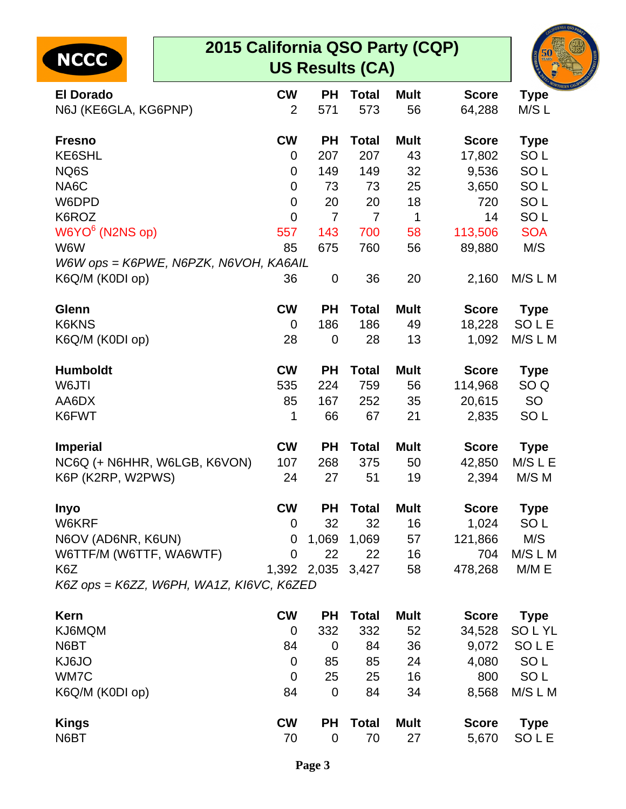| <b>NCCC</b>                              | 2015 California QSO Party (CQP)<br><b>US Results (CA)</b> |                |                |             |              |                 |  |  |
|------------------------------------------|-----------------------------------------------------------|----------------|----------------|-------------|--------------|-----------------|--|--|
| <b>El Dorado</b>                         | <b>CW</b>                                                 | <b>PH</b>      | <b>Total</b>   | <b>Mult</b> | <b>Score</b> | <b>Type</b>     |  |  |
| N6J (KE6GLA, KG6PNP)                     | $\overline{2}$                                            | 571            | 573            | 56          | 64,288       | M/S L           |  |  |
| <b>Fresno</b>                            | <b>CW</b>                                                 | <b>PH</b>      | <b>Total</b>   | <b>Mult</b> | <b>Score</b> | <b>Type</b>     |  |  |
| KE6SHL                                   | 0                                                         | 207            | 207            | 43          | 17,802       | SO <sub>L</sub> |  |  |
| NQ6S                                     | 0                                                         | 149            | 149            | 32          | 9,536        | SO <sub>L</sub> |  |  |
| NA6C                                     | 0                                                         | 73             | 73             | 25          | 3,650        | SO <sub>L</sub> |  |  |
| W6DPD                                    | 0                                                         | 20             | 20             | 18          | 720          | SO <sub>L</sub> |  |  |
| K6ROZ                                    | $\overline{0}$                                            | $\overline{7}$ | $\overline{7}$ | 1           | 14           | SO <sub>L</sub> |  |  |
| W6YO <sup>6</sup> (N2NS op)              | 557                                                       | 143            | 700            | 58          | 113,506      | <b>SOA</b>      |  |  |
| W6W                                      | 85                                                        | 675            | 760            | 56          | 89,880       | M/S             |  |  |
| W6W ops = K6PWE, N6PZK, N6VOH, KA6AIL    |                                                           |                |                |             |              |                 |  |  |
| K6Q/M (K0DI op)                          | 36                                                        | $\mathbf 0$    | 36             | 20          | 2,160        | M/S L M         |  |  |
| Glenn                                    | <b>CW</b>                                                 | <b>PH</b>      | <b>Total</b>   | <b>Mult</b> | <b>Score</b> | <b>Type</b>     |  |  |
| K6KNS                                    | 0                                                         | 186            | 186            | 49          | 18,228       | SOLE            |  |  |
| K6Q/M (K0DI op)                          | 28                                                        | 0              | 28             | 13          | 1,092        | M/S L M         |  |  |
| <b>Humboldt</b>                          | <b>CW</b>                                                 | <b>PH</b>      | <b>Total</b>   | <b>Mult</b> | <b>Score</b> | <b>Type</b>     |  |  |
| W6JTI                                    | 535                                                       | 224            | 759            | 56          | 114,968      | SO <sub>Q</sub> |  |  |
| AA6DX                                    | 85                                                        | 167            | 252            | 35          | 20,615       | SO              |  |  |
| K6FWT                                    | 1                                                         | 66             | 67             | 21          | 2,835        | SO <sub>L</sub> |  |  |
| <b>Imperial</b>                          | <b>CW</b>                                                 | <b>PH</b>      | <b>Total</b>   | <b>Mult</b> | <b>Score</b> | <b>Type</b>     |  |  |
| NC6Q (+ N6HHR, W6LGB, K6VON)             | 107                                                       | 268            | 375            | 50          | 42,850       | M/S L E         |  |  |
| K6P (K2RP, W2PWS)                        | 24                                                        | 27             | 51             | 19          | 2,394        | M/S M           |  |  |
| <b>Inyo</b>                              | <b>CW</b>                                                 | <b>PH</b>      | <b>Total</b>   | <b>Mult</b> | <b>Score</b> | <b>Type</b>     |  |  |
| W6KRF                                    | 0                                                         | 32             | 32             | 16          | 1,024        | SO <sub>L</sub> |  |  |
| N6OV (AD6NR, K6UN)                       | $\Omega$                                                  | 1,069          | 1,069          | 57          | 121,866      | M/S             |  |  |
| W6TTF/M (W6TTF, WA6WTF)                  | 0                                                         | 22             | 22             | 16          | 704          | M/S L M         |  |  |
| K6Z                                      |                                                           | 1,392 2,035    | 3,427          | 58          | 478,268      | M/M E           |  |  |
| K6Z ops = K6ZZ, W6PH, WA1Z, KI6VC, K6ZED |                                                           |                |                |             |              |                 |  |  |
| Kern                                     | <b>CW</b>                                                 | <b>PH</b>      | <b>Total</b>   | <b>Mult</b> | <b>Score</b> | <b>Type</b>     |  |  |
| KJ6MQM                                   | $\mathbf 0$                                               | 332            | 332            | 52          | 34,528       | SOLYL           |  |  |
| N6BT                                     | 84                                                        | $\mathbf 0$    | 84             | 36          | 9,072        | SOLE            |  |  |
| KJ6JO                                    | $\mathbf 0$                                               | 85             | 85             | 24          | 4,080        | SO <sub>L</sub> |  |  |
| WM7C                                     | $\overline{0}$                                            | 25             | 25             | 16          | 800          | SO <sub>L</sub> |  |  |
| K6Q/M (K0DI op)                          | 84                                                        | $\mathbf 0$    | 84             | 34          | 8,568        | M/S L M         |  |  |
| <b>Kings</b>                             | <b>CW</b>                                                 | <b>PH</b>      | <b>Total</b>   | <b>Mult</b> | <b>Score</b> | <b>Type</b>     |  |  |
| N6BT                                     | 70                                                        | $\mathbf 0$    | 70             | 27          | 5,670        | SOLE            |  |  |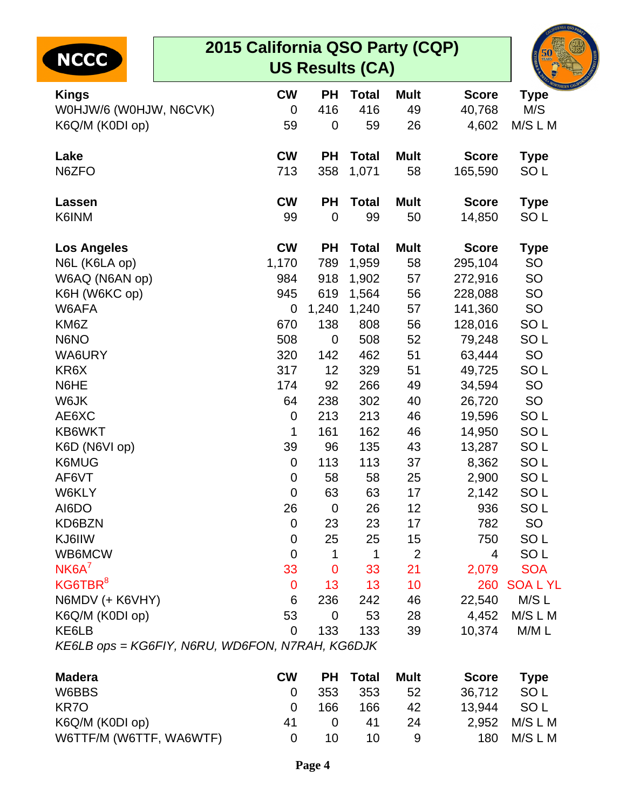



| WOHJW/6 (WOHJW, N6CVK)<br>416<br>416<br>49<br>M/S<br>$\mathbf 0$<br>40,768<br>M/S L M<br>K6Q/M (K0DI op)<br>59<br>0<br>59<br>26<br>4,602<br><b>CW</b><br><b>PH</b><br>Lake<br><b>Total</b><br><b>Mult</b><br><b>Score</b><br><b>Type</b><br>N6ZFO<br>713<br>358<br>1,071<br>58<br>165,590<br>SO <sub>L</sub><br><b>CW</b><br><b>PH</b><br><b>Mult</b><br><b>Score</b><br><b>Total</b><br><b>Type</b><br>Lassen<br>K6INM<br>99<br>$\mathbf 0$<br>99<br>50<br>14,850<br>SO <sub>L</sub><br><b>CW</b><br><b>PH</b><br><b>Mult</b><br><b>Score</b><br><b>Los Angeles</b><br><b>Total</b><br>Type<br>1,170<br>789<br>1,959<br>58<br>295,104<br><b>SO</b><br>N6L (K6LA op)<br>SO<br>W6AQ (N6AN op)<br>984<br>918<br>1,902<br>57<br>272,916<br><b>SO</b><br>K6H (W6KC op)<br>945<br>619<br>56<br>1,564<br>228,088<br>SO<br>W6AFA<br>1,240<br>1,240<br>141,360<br>0<br>57<br>SO <sub>L</sub><br>KM6Z<br>670<br>138<br>808<br>56<br>128,016<br>SO <sub>L</sub><br>N6NO<br>508<br>508<br>52<br>79,248<br>0<br>320<br>462<br>SO<br>WA6URY<br>142<br>51<br>63,444<br>SO <sub>L</sub><br>KR6X<br>317<br>12<br>329<br>49,725<br>51<br>92<br>SO<br>N6HE<br>174<br>266<br>49<br>34,594<br>SO<br>W6JK<br>64<br>238<br>302<br>40<br>26,720<br>SO <sub>L</sub><br>AE6XC<br>213<br>213<br>46<br>$\mathbf 0$<br>19,596<br>SO <sub>L</sub><br>KB6WKT<br>1<br>161<br>162<br>46<br>14,950<br>SO <sub>L</sub><br>K6D (N6VI op)<br>39<br>96<br>135<br>43<br>13,287<br>SO <sub>L</sub><br>K6MUG<br>113<br>113<br>8,362<br>0<br>37<br>SO <sub>L</sub><br>AF6VT<br>58<br>25<br>$\mathbf 0$<br>58<br>2,900<br>SO <sub>L</sub><br>W6KLY<br>$\overline{0}$<br>63<br>2,142<br>63<br>17<br>SO <sub>L</sub><br>AI6DO<br>26<br>12<br>$\mathbf 0$<br>26<br>936<br><b>SO</b><br>KD6BZN<br>$\mathbf 0$<br>23<br>23<br>782<br>17<br>KJ6IIW<br>25<br>25<br>15<br>750<br>SO <sub>L</sub><br>0<br>WB6MCW<br>SO <sub>L</sub><br>$\overline{2}$<br>0<br>1<br>1<br>4<br>$NK6A^7$<br><b>SOA</b><br>33<br>21<br>33<br>2,079<br>0<br>KG6TBR <sup>8</sup><br>260<br><b>SOALYL</b><br>10<br>13<br>13<br>0<br>M/S L<br>N6MDV (+ K6VHY)<br>236<br>242<br>46<br>22,540<br>6<br>M/S L M<br>K6Q/M (K0DI op)<br>53<br>4,452<br>53<br>28<br>0 | <b>Kings</b> | <b>CW</b> | <b>PH</b> | <b>Total</b> | <b>Mult</b> | <b>Score</b> | NORTHE<br><b>Type</b> |
|-------------------------------------------------------------------------------------------------------------------------------------------------------------------------------------------------------------------------------------------------------------------------------------------------------------------------------------------------------------------------------------------------------------------------------------------------------------------------------------------------------------------------------------------------------------------------------------------------------------------------------------------------------------------------------------------------------------------------------------------------------------------------------------------------------------------------------------------------------------------------------------------------------------------------------------------------------------------------------------------------------------------------------------------------------------------------------------------------------------------------------------------------------------------------------------------------------------------------------------------------------------------------------------------------------------------------------------------------------------------------------------------------------------------------------------------------------------------------------------------------------------------------------------------------------------------------------------------------------------------------------------------------------------------------------------------------------------------------------------------------------------------------------------------------------------------------------------------------------------------------------------------------------------------------------------------------------------------------------------------------------------------------------------------------------------------------------------------------------------------------------------------------------------------------------------|--------------|-----------|-----------|--------------|-------------|--------------|-----------------------|
|                                                                                                                                                                                                                                                                                                                                                                                                                                                                                                                                                                                                                                                                                                                                                                                                                                                                                                                                                                                                                                                                                                                                                                                                                                                                                                                                                                                                                                                                                                                                                                                                                                                                                                                                                                                                                                                                                                                                                                                                                                                                                                                                                                                     |              |           |           |              |             |              |                       |
|                                                                                                                                                                                                                                                                                                                                                                                                                                                                                                                                                                                                                                                                                                                                                                                                                                                                                                                                                                                                                                                                                                                                                                                                                                                                                                                                                                                                                                                                                                                                                                                                                                                                                                                                                                                                                                                                                                                                                                                                                                                                                                                                                                                     |              |           |           |              |             |              |                       |
|                                                                                                                                                                                                                                                                                                                                                                                                                                                                                                                                                                                                                                                                                                                                                                                                                                                                                                                                                                                                                                                                                                                                                                                                                                                                                                                                                                                                                                                                                                                                                                                                                                                                                                                                                                                                                                                                                                                                                                                                                                                                                                                                                                                     |              |           |           |              |             |              |                       |
|                                                                                                                                                                                                                                                                                                                                                                                                                                                                                                                                                                                                                                                                                                                                                                                                                                                                                                                                                                                                                                                                                                                                                                                                                                                                                                                                                                                                                                                                                                                                                                                                                                                                                                                                                                                                                                                                                                                                                                                                                                                                                                                                                                                     |              |           |           |              |             |              |                       |
|                                                                                                                                                                                                                                                                                                                                                                                                                                                                                                                                                                                                                                                                                                                                                                                                                                                                                                                                                                                                                                                                                                                                                                                                                                                                                                                                                                                                                                                                                                                                                                                                                                                                                                                                                                                                                                                                                                                                                                                                                                                                                                                                                                                     |              |           |           |              |             |              |                       |
|                                                                                                                                                                                                                                                                                                                                                                                                                                                                                                                                                                                                                                                                                                                                                                                                                                                                                                                                                                                                                                                                                                                                                                                                                                                                                                                                                                                                                                                                                                                                                                                                                                                                                                                                                                                                                                                                                                                                                                                                                                                                                                                                                                                     |              |           |           |              |             |              |                       |
|                                                                                                                                                                                                                                                                                                                                                                                                                                                                                                                                                                                                                                                                                                                                                                                                                                                                                                                                                                                                                                                                                                                                                                                                                                                                                                                                                                                                                                                                                                                                                                                                                                                                                                                                                                                                                                                                                                                                                                                                                                                                                                                                                                                     |              |           |           |              |             |              |                       |
|                                                                                                                                                                                                                                                                                                                                                                                                                                                                                                                                                                                                                                                                                                                                                                                                                                                                                                                                                                                                                                                                                                                                                                                                                                                                                                                                                                                                                                                                                                                                                                                                                                                                                                                                                                                                                                                                                                                                                                                                                                                                                                                                                                                     |              |           |           |              |             |              |                       |
|                                                                                                                                                                                                                                                                                                                                                                                                                                                                                                                                                                                                                                                                                                                                                                                                                                                                                                                                                                                                                                                                                                                                                                                                                                                                                                                                                                                                                                                                                                                                                                                                                                                                                                                                                                                                                                                                                                                                                                                                                                                                                                                                                                                     |              |           |           |              |             |              |                       |
|                                                                                                                                                                                                                                                                                                                                                                                                                                                                                                                                                                                                                                                                                                                                                                                                                                                                                                                                                                                                                                                                                                                                                                                                                                                                                                                                                                                                                                                                                                                                                                                                                                                                                                                                                                                                                                                                                                                                                                                                                                                                                                                                                                                     |              |           |           |              |             |              |                       |
|                                                                                                                                                                                                                                                                                                                                                                                                                                                                                                                                                                                                                                                                                                                                                                                                                                                                                                                                                                                                                                                                                                                                                                                                                                                                                                                                                                                                                                                                                                                                                                                                                                                                                                                                                                                                                                                                                                                                                                                                                                                                                                                                                                                     |              |           |           |              |             |              |                       |
|                                                                                                                                                                                                                                                                                                                                                                                                                                                                                                                                                                                                                                                                                                                                                                                                                                                                                                                                                                                                                                                                                                                                                                                                                                                                                                                                                                                                                                                                                                                                                                                                                                                                                                                                                                                                                                                                                                                                                                                                                                                                                                                                                                                     |              |           |           |              |             |              |                       |
|                                                                                                                                                                                                                                                                                                                                                                                                                                                                                                                                                                                                                                                                                                                                                                                                                                                                                                                                                                                                                                                                                                                                                                                                                                                                                                                                                                                                                                                                                                                                                                                                                                                                                                                                                                                                                                                                                                                                                                                                                                                                                                                                                                                     |              |           |           |              |             |              |                       |
|                                                                                                                                                                                                                                                                                                                                                                                                                                                                                                                                                                                                                                                                                                                                                                                                                                                                                                                                                                                                                                                                                                                                                                                                                                                                                                                                                                                                                                                                                                                                                                                                                                                                                                                                                                                                                                                                                                                                                                                                                                                                                                                                                                                     |              |           |           |              |             |              |                       |
|                                                                                                                                                                                                                                                                                                                                                                                                                                                                                                                                                                                                                                                                                                                                                                                                                                                                                                                                                                                                                                                                                                                                                                                                                                                                                                                                                                                                                                                                                                                                                                                                                                                                                                                                                                                                                                                                                                                                                                                                                                                                                                                                                                                     |              |           |           |              |             |              |                       |
|                                                                                                                                                                                                                                                                                                                                                                                                                                                                                                                                                                                                                                                                                                                                                                                                                                                                                                                                                                                                                                                                                                                                                                                                                                                                                                                                                                                                                                                                                                                                                                                                                                                                                                                                                                                                                                                                                                                                                                                                                                                                                                                                                                                     |              |           |           |              |             |              |                       |
|                                                                                                                                                                                                                                                                                                                                                                                                                                                                                                                                                                                                                                                                                                                                                                                                                                                                                                                                                                                                                                                                                                                                                                                                                                                                                                                                                                                                                                                                                                                                                                                                                                                                                                                                                                                                                                                                                                                                                                                                                                                                                                                                                                                     |              |           |           |              |             |              |                       |
|                                                                                                                                                                                                                                                                                                                                                                                                                                                                                                                                                                                                                                                                                                                                                                                                                                                                                                                                                                                                                                                                                                                                                                                                                                                                                                                                                                                                                                                                                                                                                                                                                                                                                                                                                                                                                                                                                                                                                                                                                                                                                                                                                                                     |              |           |           |              |             |              |                       |
|                                                                                                                                                                                                                                                                                                                                                                                                                                                                                                                                                                                                                                                                                                                                                                                                                                                                                                                                                                                                                                                                                                                                                                                                                                                                                                                                                                                                                                                                                                                                                                                                                                                                                                                                                                                                                                                                                                                                                                                                                                                                                                                                                                                     |              |           |           |              |             |              |                       |
|                                                                                                                                                                                                                                                                                                                                                                                                                                                                                                                                                                                                                                                                                                                                                                                                                                                                                                                                                                                                                                                                                                                                                                                                                                                                                                                                                                                                                                                                                                                                                                                                                                                                                                                                                                                                                                                                                                                                                                                                                                                                                                                                                                                     |              |           |           |              |             |              |                       |
|                                                                                                                                                                                                                                                                                                                                                                                                                                                                                                                                                                                                                                                                                                                                                                                                                                                                                                                                                                                                                                                                                                                                                                                                                                                                                                                                                                                                                                                                                                                                                                                                                                                                                                                                                                                                                                                                                                                                                                                                                                                                                                                                                                                     |              |           |           |              |             |              |                       |
|                                                                                                                                                                                                                                                                                                                                                                                                                                                                                                                                                                                                                                                                                                                                                                                                                                                                                                                                                                                                                                                                                                                                                                                                                                                                                                                                                                                                                                                                                                                                                                                                                                                                                                                                                                                                                                                                                                                                                                                                                                                                                                                                                                                     |              |           |           |              |             |              |                       |
|                                                                                                                                                                                                                                                                                                                                                                                                                                                                                                                                                                                                                                                                                                                                                                                                                                                                                                                                                                                                                                                                                                                                                                                                                                                                                                                                                                                                                                                                                                                                                                                                                                                                                                                                                                                                                                                                                                                                                                                                                                                                                                                                                                                     |              |           |           |              |             |              |                       |
|                                                                                                                                                                                                                                                                                                                                                                                                                                                                                                                                                                                                                                                                                                                                                                                                                                                                                                                                                                                                                                                                                                                                                                                                                                                                                                                                                                                                                                                                                                                                                                                                                                                                                                                                                                                                                                                                                                                                                                                                                                                                                                                                                                                     |              |           |           |              |             |              |                       |
|                                                                                                                                                                                                                                                                                                                                                                                                                                                                                                                                                                                                                                                                                                                                                                                                                                                                                                                                                                                                                                                                                                                                                                                                                                                                                                                                                                                                                                                                                                                                                                                                                                                                                                                                                                                                                                                                                                                                                                                                                                                                                                                                                                                     |              |           |           |              |             |              |                       |
|                                                                                                                                                                                                                                                                                                                                                                                                                                                                                                                                                                                                                                                                                                                                                                                                                                                                                                                                                                                                                                                                                                                                                                                                                                                                                                                                                                                                                                                                                                                                                                                                                                                                                                                                                                                                                                                                                                                                                                                                                                                                                                                                                                                     |              |           |           |              |             |              |                       |
|                                                                                                                                                                                                                                                                                                                                                                                                                                                                                                                                                                                                                                                                                                                                                                                                                                                                                                                                                                                                                                                                                                                                                                                                                                                                                                                                                                                                                                                                                                                                                                                                                                                                                                                                                                                                                                                                                                                                                                                                                                                                                                                                                                                     |              |           |           |              |             |              |                       |
|                                                                                                                                                                                                                                                                                                                                                                                                                                                                                                                                                                                                                                                                                                                                                                                                                                                                                                                                                                                                                                                                                                                                                                                                                                                                                                                                                                                                                                                                                                                                                                                                                                                                                                                                                                                                                                                                                                                                                                                                                                                                                                                                                                                     |              |           |           |              |             |              |                       |
|                                                                                                                                                                                                                                                                                                                                                                                                                                                                                                                                                                                                                                                                                                                                                                                                                                                                                                                                                                                                                                                                                                                                                                                                                                                                                                                                                                                                                                                                                                                                                                                                                                                                                                                                                                                                                                                                                                                                                                                                                                                                                                                                                                                     |              |           |           |              |             |              |                       |
|                                                                                                                                                                                                                                                                                                                                                                                                                                                                                                                                                                                                                                                                                                                                                                                                                                                                                                                                                                                                                                                                                                                                                                                                                                                                                                                                                                                                                                                                                                                                                                                                                                                                                                                                                                                                                                                                                                                                                                                                                                                                                                                                                                                     |              |           |           |              |             |              |                       |
|                                                                                                                                                                                                                                                                                                                                                                                                                                                                                                                                                                                                                                                                                                                                                                                                                                                                                                                                                                                                                                                                                                                                                                                                                                                                                                                                                                                                                                                                                                                                                                                                                                                                                                                                                                                                                                                                                                                                                                                                                                                                                                                                                                                     |              |           |           |              |             |              |                       |
|                                                                                                                                                                                                                                                                                                                                                                                                                                                                                                                                                                                                                                                                                                                                                                                                                                                                                                                                                                                                                                                                                                                                                                                                                                                                                                                                                                                                                                                                                                                                                                                                                                                                                                                                                                                                                                                                                                                                                                                                                                                                                                                                                                                     |              |           |           |              |             |              |                       |
| KERLD one - KOREIV NRDIJ WDREONI N7DAH KORD IK                                                                                                                                                                                                                                                                                                                                                                                                                                                                                                                                                                                                                                                                                                                                                                                                                                                                                                                                                                                                                                                                                                                                                                                                                                                                                                                                                                                                                                                                                                                                                                                                                                                                                                                                                                                                                                                                                                                                                                                                                                                                                                                                      | KE6LB        | 0         | 133       | 133          | 39          | 10,374       | M/M L                 |

KE6LB ops = KG6FIY, N6RU, WD6FON, N7RAH, KG6DJK

| <b>Madera</b>           | <b>CW</b> |          | PH Total | Mult | Score  | <b>Type</b>   |
|-------------------------|-----------|----------|----------|------|--------|---------------|
| W6BBS                   | $\Omega$  | -353     | 353      | 52   | 36,712 | -SO L         |
| KR7O                    | $\Omega$  | 166      | 166      | 42   | 13.944 | – SO L        |
| K6Q/M (K0DI op)         | 41        | $\Omega$ | 41       | 24   |        | 2,952 M/S L M |
| W6TTF/M (W6TTF, WA6WTF) |           | 10.      | 10       | 9    |        | 180 M/S L M   |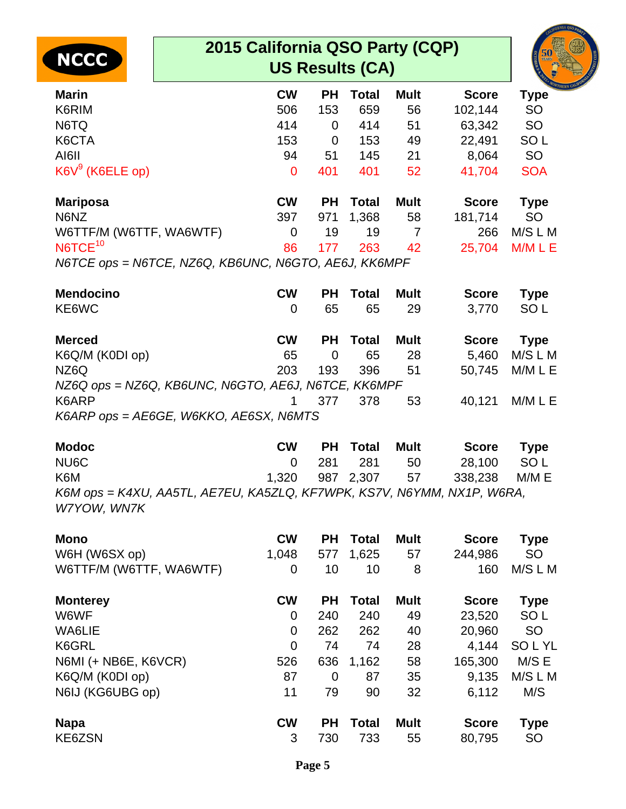| NCCC |
|------|
|------|



|                         |                |                |              |             |              | <b>NORTH</b>    |
|-------------------------|----------------|----------------|--------------|-------------|--------------|-----------------|
| <b>Marin</b>            | <b>CW</b>      | <b>PH</b>      | Total        | <b>Mult</b> | <b>Score</b> | Type            |
| K6RIM                   | 506            | 153            | 659          | 56          | 102,144      | <b>SO</b>       |
| N6TQ                    | 414            | $\overline{0}$ | 414          | 51          | 63,342       | <b>SO</b>       |
| K6CTA                   | 153            | $\mathbf 0$    | 153          | 49          | 22,491       | SO <sub>L</sub> |
| AI6II                   | 94             | 51             | 145          | 21          | 8,064        | <b>SO</b>       |
| $K6V9$ (K6ELE op)       | $\overline{0}$ | 401            | 401          | 52          | 41,704       | <b>SOA</b>      |
| <b>Mariposa</b>         | <b>CW</b>      | <b>PH</b>      | <b>Total</b> | <b>Mult</b> | <b>Score</b> | Type            |
| N6NZ                    | 397            | 971            | 1,368        | 58          | 181,714      | <b>SO</b>       |
| W6TTF/M (W6TTF, WA6WTF) | 0              | 19             | 19           | 7           | 266          | M/S L M         |
| NGTCE <sup>10</sup>     | 86             | 177            | 263          | 42          | 25,704       | M/M L E         |
|                         |                |                |              |             |              |                 |

N6TCE ops = N6TCE, NZ6Q, KB6UNC, N6GTO, AE6J, KK6MPF

| <b>Mendocino</b>                                    | <b>CW</b> | <b>PH</b> | Total        | <b>Mult</b> | <b>Score</b> | <b>Type</b>     |
|-----------------------------------------------------|-----------|-----------|--------------|-------------|--------------|-----------------|
| KE6WC                                               | 0         | 65        | 65           | 29          | 3,770        | SO <sub>L</sub> |
| <b>Merced</b>                                       | <b>CW</b> | <b>PH</b> | <b>Total</b> | <b>Mult</b> | <b>Score</b> | <b>Type</b>     |
| K6Q/M (K0DI op)                                     | 65        | 0         | 65           | 28          | 5,460        | M/S L M         |
| NZ6Q                                                | 203       | 193       | 396          | 51          | 50.745       | $M/M \, L \, E$ |
| NZ6Q ops = NZ6Q, KB6UNC, N6GTO, AE6J, N6TCE, KK6MPF |           |           |              |             |              |                 |
| K6ARP                                               |           | 377       | 378          | 53          | 40.121       | M/M L E         |
| K6ARP ops = AE6GE, W6KKO, AE6SX, N6MTS              |           |           |              |             |              |                 |

| <b>Modoc</b>                                                           | <b>CW</b> |        | <b>PH</b> Total | Mult | <b>Score</b>               | <b>Type</b> |
|------------------------------------------------------------------------|-----------|--------|-----------------|------|----------------------------|-------------|
| NU6C                                                                   |           | -281 - | - 281           | 50   | 28.100 SOL                 |             |
| K6M                                                                    |           |        |                 |      | 1,320 987 2,307 57 338,238 | M/M E       |
| K6M ops = K4XU, AA5TL, AE7EU, KA5ZLQ, KF7WPK, KS7V, N6YMM, NX1P, W6RA, |           |        |                 |      |                            |             |
| W7YOW, WN7K                                                            |           |        |                 |      |                            |             |

| <b>Mono</b>             | <b>CW</b>      | <b>PH</b> | <b>Total</b> | <b>Mult</b> | <b>Score</b> | <b>Type</b>     |
|-------------------------|----------------|-----------|--------------|-------------|--------------|-----------------|
| W6H (W6SX op)           | 1,048          | 577       | 1,625        | 57          | 244,986      | <b>SO</b>       |
| W6TTF/M (W6TTF, WA6WTF) | 0              | 10        | 10           | 8           | 160          | M/S L M         |
| <b>Monterey</b>         | <b>CW</b>      | <b>PH</b> | <b>Total</b> | <b>Mult</b> | <b>Score</b> | <b>Type</b>     |
| W6WF                    | 0              | 240       | 240          | 49          | 23,520       | SO <sub>L</sub> |
| WA6LIE                  | $\overline{0}$ | 262       | 262          | 40          | 20,960       | <b>SO</b>       |
| K6GRL                   | $\overline{0}$ | 74        | 74           | 28          | 4,144        | <b>SOLYL</b>    |
| N6MI (+ NB6E, K6VCR)    | 526            | 636       | 1,162        | 58          | 165,300      | M/S E           |
| K6Q/M (K0DI op)         | 87             | 0         | 87           | 35          | 9,135        | M/S L M         |
| N6IJ (KG6UBG op)        | 11             | 79        | 90           | 32          | 6,112        | M/S             |
| <b>Napa</b>             | <b>CW</b>      | <b>PH</b> | <b>Total</b> | <b>Mult</b> | <b>Score</b> | <b>Type</b>     |
| KE6ZSN                  | 3              | 730       | 733          | 55          | 80,795       | <b>SO</b>       |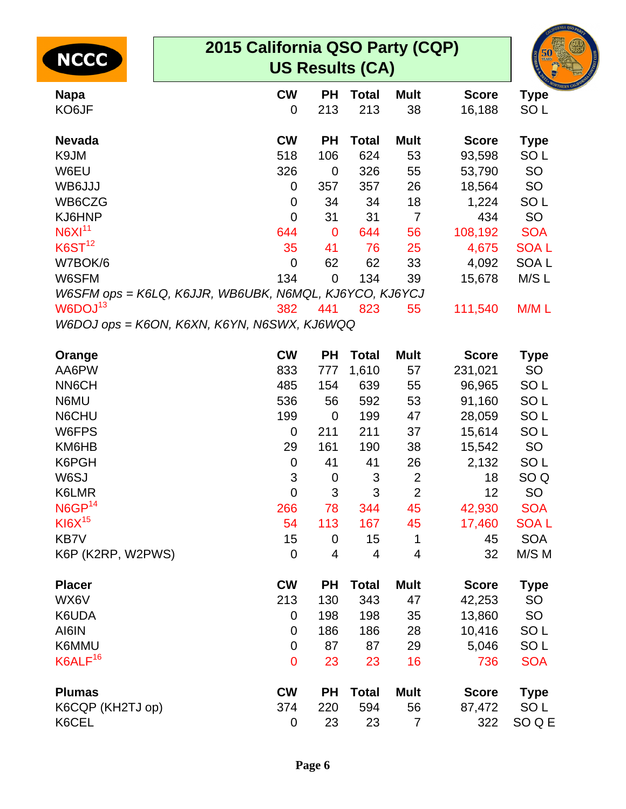| 2015 California QSO Party (CQP)<br><b>NCCC</b><br><b>US Results (CA)</b> |                  |                |              |                |              |                  |  |
|--------------------------------------------------------------------------|------------------|----------------|--------------|----------------|--------------|------------------|--|
| <b>Napa</b>                                                              | <b>CW</b>        | <b>PH</b>      | <b>Total</b> | <b>Mult</b>    | <b>Score</b> | <b>Type</b>      |  |
| KO6JF                                                                    | $\mathbf 0$      | 213            | 213          | 38             | 16,188       | SO <sub>L</sub>  |  |
| <b>Nevada</b>                                                            | <b>CW</b>        | <b>PH</b>      | <b>Total</b> | <b>Mult</b>    | <b>Score</b> | <b>Type</b>      |  |
| K9JM                                                                     | 518              | 106            | 624          | 53             | 93,598       | SO <sub>L</sub>  |  |
| W6EU                                                                     | 326              | $\mathbf 0$    | 326          | 55             | 53,790       | <b>SO</b>        |  |
| WB6JJJ                                                                   | $\mathbf 0$      | 357            | 357          | 26             | 18,564       | SO               |  |
| WB6CZG                                                                   | $\mathbf 0$      | 34             | 34           | 18             | 1,224        | SO <sub>L</sub>  |  |
| KJ6HNP                                                                   | $\mathbf 0$      | 31             | 31           | $\overline{7}$ | 434          | SO               |  |
| NSX1 <sup>11</sup>                                                       | 644              | $\mathbf 0$    | 644          | 56             | 108,192      | <b>SOA</b>       |  |
| K6ST <sup>12</sup>                                                       | 35               | 41             | 76           | 25             | 4,675        | <b>SOAL</b>      |  |
| W7BOK/6                                                                  | $\Omega$         | 62             | 62           | 33             | 4,092        | SOA <sub>L</sub> |  |
| W6SFM                                                                    | 134              | $\overline{0}$ | 134          | 39             | 15,678       | M/S L            |  |
| W6SFM ops = K6LQ, K6JJR, WB6UBK, N6MQL, KJ6YCO, KJ6YCJ                   |                  |                |              |                |              |                  |  |
| W6DOJ <sup>13</sup>                                                      | 382              | 441            | 823          | 55             | 111,540      | M/ML             |  |
| W6DOJ ops = K6ON, K6XN, K6YN, N6SWX, KJ6WQQ                              |                  |                |              |                |              |                  |  |
| Orange                                                                   | <b>CW</b>        | <b>PH</b>      | <b>Total</b> | <b>Mult</b>    | <b>Score</b> | <b>Type</b>      |  |
| AA6PW                                                                    | 833              | 777            | 1,610        | 57             | 231,021      | SO               |  |
| <b>NN6CH</b>                                                             | 485              | 154            | 639          | 55             | 96,965       | SO <sub>L</sub>  |  |
| N6MU                                                                     | 536              | 56             | 592          | 53             | 91,160       | SO <sub>L</sub>  |  |
| N6CHU                                                                    | 199              | $\mathbf 0$    | 199          | 47             | 28,059       | SO <sub>L</sub>  |  |
| W6FPS                                                                    | $\mathbf 0$      | 211            | 211          | 37             | 15,614       | SO <sub>L</sub>  |  |
| KM6HB                                                                    | 29               | 161            | 190          | 38             | 15,542       | SO               |  |
| K6PGH                                                                    | $\boldsymbol{0}$ | 41             | 41           | 26             | 2,132        | SO <sub>L</sub>  |  |
| W6SJ                                                                     | 3                | $\mathbf 0$    | 3            | $\overline{2}$ | 18           | SO <sub>Q</sub>  |  |
| K6LMR                                                                    | $\mathbf 0$      | 3              | 3            | $\overline{2}$ | 12           | SO               |  |
| NGCP <sup>14</sup>                                                       | 266              | 78             | 344          | 45             | 42,930       | <b>SOA</b>       |  |
| $K$ $16X$ <sup><math>15</math></sup>                                     | 54               | 113            | 167          | 45             | 17,460       | <b>SOAL</b>      |  |
| <b>KB7V</b>                                                              | 15               | 0              | 15           | 1              | 45           | <b>SOA</b>       |  |
| K6P (K2RP, W2PWS)                                                        | $\mathbf 0$      | 4              | 4            | 4              | 32           | M/S M            |  |
| <b>Placer</b>                                                            | <b>CW</b>        | <b>PH</b>      | <b>Total</b> | <b>Mult</b>    | <b>Score</b> | <b>Type</b>      |  |
| WX6V                                                                     | 213              | 130            | 343          | 47             | 42,253       | <b>SO</b>        |  |
| K6UDA                                                                    | $\mathbf 0$      | 198            | 198          | 35             | 13,860       | SO               |  |
| AI6IN                                                                    | $\mathbf 0$      | 186            | 186          | 28             | 10,416       | SO <sub>L</sub>  |  |
| K6MMU                                                                    | $\mathbf 0$      | 87             | 87           | 29             | 5,046        | SO <sub>L</sub>  |  |
| K6ALF <sup>16</sup>                                                      | $\overline{0}$   | 23             | 23           | 16             | 736          | <b>SOA</b>       |  |
| <b>Plumas</b>                                                            | <b>CW</b>        | <b>PH</b>      | <b>Total</b> | <b>Mult</b>    | <b>Score</b> | <b>Type</b>      |  |
| K6CQP (KH2TJ op)                                                         | 374              | 220            | 594          | 56             | 87,472       | SO <sub>L</sub>  |  |
| K6CEL                                                                    | 0                | 23             | 23           | 7              | 322          | SO Q E           |  |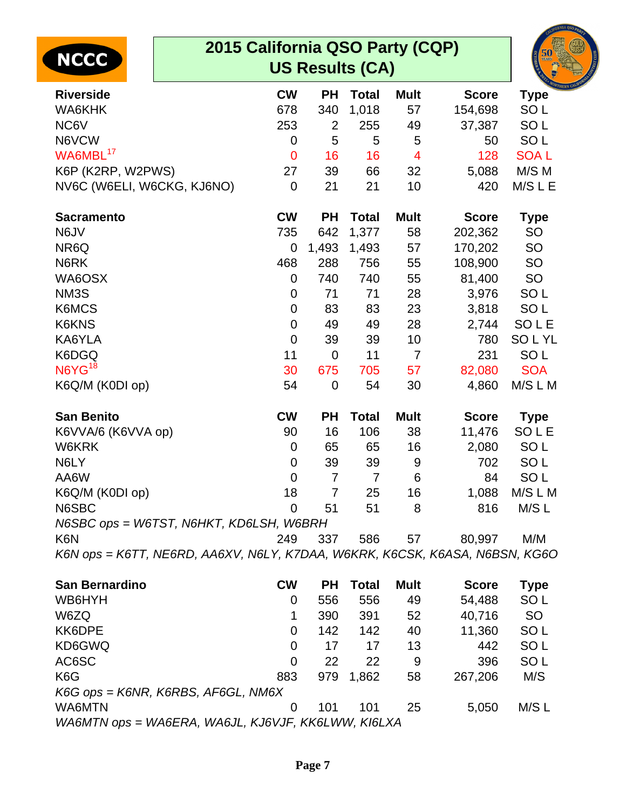| <b>NCCC</b>                                                                 | 2015 California QSO Party (CQP)<br><b>US Results (CA)</b> |                |                |                |              |                 |  |  |
|-----------------------------------------------------------------------------|-----------------------------------------------------------|----------------|----------------|----------------|--------------|-----------------|--|--|
| <b>Riverside</b>                                                            | <b>CW</b>                                                 | <b>PH</b>      | <b>Total</b>   | <b>Mult</b>    | <b>Score</b> | <b>Type</b>     |  |  |
| WA6KHK                                                                      | 678                                                       | 340            | 1,018          | 57             | 154,698      | SO <sub>L</sub> |  |  |
| NC6V                                                                        | 253                                                       | $\overline{2}$ | 255            | 49             | 37,387       | SO <sub>L</sub> |  |  |
| N6VCW                                                                       | 0                                                         | 5              | 5              | 5              | 50           | SO <sub>L</sub> |  |  |
| WA6MBL <sup>17</sup>                                                        | $\overline{0}$                                            | 16             | 16             | $\overline{4}$ | 128          | <b>SOAL</b>     |  |  |
| K6P (K2RP, W2PWS)                                                           | 27                                                        | 39             | 66             | 32             | 5,088        | M/S M           |  |  |
| NV6C (W6ELI, W6CKG, KJ6NO)                                                  | $\mathbf 0$                                               | 21             | 21             | 10             | 420          | M/SLE           |  |  |
| <b>Sacramento</b>                                                           | <b>CW</b>                                                 | <b>PH</b>      | <b>Total</b>   | <b>Mult</b>    | <b>Score</b> | <b>Type</b>     |  |  |
| N6JV                                                                        | 735                                                       | 642            | 1,377          | 58             | 202,362      | SO              |  |  |
| NR6Q                                                                        | $\mathbf 0$                                               | 1,493          | 1,493          | 57             | 170,202      | <b>SO</b>       |  |  |
| N6RK                                                                        | 468                                                       | 288            | 756            | 55             | 108,900      | SO              |  |  |
| WA6OSX                                                                      | $\mathbf 0$                                               | 740            | 740            | 55             | 81,400       | SO              |  |  |
| NM3S                                                                        | $\mathbf 0$                                               | 71             | 71             | 28             | 3,976        | SO <sub>L</sub> |  |  |
| K6MCS                                                                       | $\mathbf 0$                                               | 83             | 83             | 23             | 3,818        | SO <sub>L</sub> |  |  |
| K6KNS                                                                       | $\mathbf 0$                                               | 49             | 49             | 28             | 2,744        | <b>SOLE</b>     |  |  |
| KA6YLA                                                                      | $\mathbf 0$                                               | 39             | 39             | 10             | 780          | SOLYL           |  |  |
| K6DGQ                                                                       | 11                                                        | $\overline{0}$ | 11             | $\overline{7}$ | 231          | SO <sub>L</sub> |  |  |
| N6YG <sup>18</sup>                                                          | 30                                                        | 675            | 705            | 57             | 82,080       | <b>SOA</b>      |  |  |
| K6Q/M (K0DI op)                                                             | 54                                                        | $\mathbf 0$    | 54             | 30             | 4,860        | M/S L M         |  |  |
| <b>San Benito</b>                                                           | <b>CW</b>                                                 | <b>PH</b>      | <b>Total</b>   | <b>Mult</b>    | <b>Score</b> | <b>Type</b>     |  |  |
| K6VVA/6 (K6VVA op)                                                          | 90                                                        | 16             | 106            | 38             | 11,476       | SOLE            |  |  |
| W6KRK                                                                       | $\mathbf 0$                                               | 65             | 65             | 16             | 2,080        | SO <sub>L</sub> |  |  |
| N6LY                                                                        | $\mathbf 0$                                               | 39             | 39             | 9              | 702          | SO <sub>L</sub> |  |  |
| AA6W                                                                        | $\mathbf 0$                                               | $\overline{7}$ | $\overline{7}$ | 6              | 84           | SO <sub>L</sub> |  |  |
| K6Q/M (K0DI op)                                                             | 18                                                        |                | 25             | 16             | 1,088        | M/S L M         |  |  |
| N6SBC<br>N6SBC ops = W6TST, N6HKT, KD6LSH, W6BRH                            | $\mathbf 0$                                               | 51             | 51             | 8              | 816          | M/S L           |  |  |
| K <sub>6</sub> N                                                            | 249                                                       | 337            | 586            | 57             | 80,997       | M/M             |  |  |
| K6N ops = K6TT, NE6RD, AA6XV, N6LY, K7DAA, W6KRK, K6CSK, K6ASA, N6BSN, KG6O |                                                           |                |                |                |              |                 |  |  |
| San Bernardino                                                              | <b>CW</b>                                                 | <b>PH</b>      | <b>Total</b>   | <b>Mult</b>    | <b>Score</b> | <b>Type</b>     |  |  |
| WB6HYH                                                                      | 0                                                         | 556            | 556            | 49             | 54,488       | SO <sub>L</sub> |  |  |
| W6ZQ                                                                        | 1                                                         | 390            | 391            | 52             | 40,716       | SO              |  |  |
| KK6DPE                                                                      | 0                                                         | 142            | 142            | 40             | 11,360       | SO <sub>L</sub> |  |  |
| KD6GWQ                                                                      | 0                                                         | 17             | 17             | 13             | 442          | SO <sub>L</sub> |  |  |
| AC6SC                                                                       | $\mathbf 0$                                               | 22             | 22             | 9              | 396          | SO <sub>L</sub> |  |  |
| K6G                                                                         | 883                                                       | 979            | 1,862          | 58             | 267,206      | M/S             |  |  |
| $K6G$ ops = $K6NR$ , $K6RBS$ , $AF6GL$ , $NM6X$                             |                                                           |                |                |                |              |                 |  |  |

WA6MTN 0 101 101 25 5,050 M/S L WA6MTN ops = WA6ERA, WA6JL, KJ6VJF, KK6LWW, KI6LXA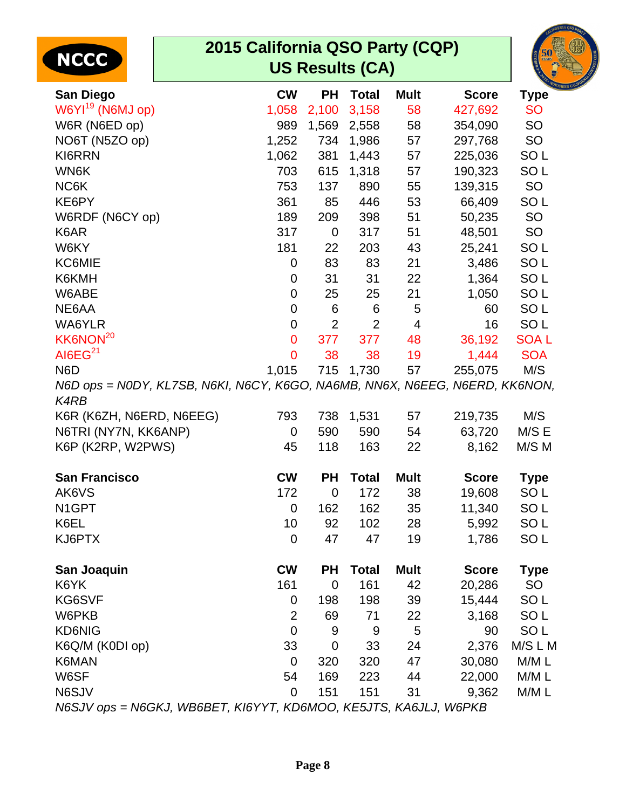| NCCC 1 |
|--------|
|--------|



| <b>San Diego</b>                                                            | <b>CW</b>      | PH             | <b>Total</b>   | <b>Mult</b> | <b>Score</b> | <b>Type</b>     |
|-----------------------------------------------------------------------------|----------------|----------------|----------------|-------------|--------------|-----------------|
| W6YI <sup>19</sup> (N6MJ op)                                                | 1,058          | 2,100          | 3,158          | 58          | 427,692      | <b>SO</b>       |
| W6R (N6ED op)                                                               | 989            | 1,569          | 2,558          | 58          | 354,090      | SO              |
| NO6T (N5ZO op)                                                              | 1,252          | 734            | 1,986          | 57          | 297,768      | SO              |
| <b>KI6RRN</b>                                                               | 1,062          | 381            | 1,443          | 57          | 225,036      | SO <sub>L</sub> |
| WN6K                                                                        | 703            | 615            | 1,318          | 57          | 190,323      | SO <sub>L</sub> |
| NC6K                                                                        | 753            | 137            | 890            | 55          | 139,315      | SO              |
| KE6PY                                                                       | 361            | 85             | 446            | 53          | 66,409       | SO <sub>L</sub> |
| W6RDF (N6CY op)                                                             | 189            | 209            | 398            | 51          | 50,235       | SO              |
| K6AR                                                                        | 317            | 0              | 317            | 51          | 48,501       | SO              |
| W6KY                                                                        | 181            | 22             | 203            | 43          | 25,241       | SO <sub>L</sub> |
| KC6MIE                                                                      | 0              | 83             | 83             | 21          | 3,486        | SO <sub>L</sub> |
| K6KMH                                                                       | 0              | 31             | 31             | 22          | 1,364        | SO <sub>L</sub> |
| W6ABE                                                                       | 0              | 25             | 25             | 21          | 1,050        | SO <sub>L</sub> |
| NE6AA                                                                       | 0              | 6              | 6              | 5           | 60           | SO <sub>L</sub> |
| WA6YLR                                                                      | $\mathbf 0$    | $\overline{2}$ | $\overline{2}$ | 4           | 16           | SO <sub>L</sub> |
| KK6NON <sup>20</sup>                                                        | 0              | 377            | 377            | 48          | 36,192       | <b>SOAL</b>     |
| AI6E $G21$                                                                  | $\mathbf 0$    | 38             | 38             | 19          | 1,444        | <b>SOA</b>      |
| N <sub>6</sub> D                                                            | 1,015          | 715            | 1,730          | 57          | 255,075      | M/S             |
| N6D ops = N0DY, KL7SB, N6KI, N6CY, K6GO, NA6MB, NN6X, N6EEG, N6ERD, KK6NON, |                |                |                |             |              |                 |
| K4RB                                                                        |                |                |                |             |              |                 |
| K6R (K6ZH, N6ERD, N6EEG)                                                    | 793            | 738            | 1,531          | 57          | 219,735      | M/S             |
| N6TRI (NY7N, KK6ANP)                                                        | 0              | 590            | 590            | 54          | 63,720       | M/S E           |
| K6P (K2RP, W2PWS)                                                           | 45             | 118            | 163            | 22          | 8,162        | M/S M           |
|                                                                             |                |                |                |             |              |                 |
| <b>San Francisco</b>                                                        | <b>CW</b>      | <b>PH</b>      | <b>Total</b>   | <b>Mult</b> | <b>Score</b> | <b>Type</b>     |
| AK6VS                                                                       | 172            | $\mathbf 0$    | 172            | 38          | 19,608       | SO <sub>L</sub> |
| N <sub>1</sub> GPT                                                          | 0              | 162            | 162            | 35          | 11,340       | SO <sub>L</sub> |
| K6EL                                                                        | 10             | 92             | 102            | 28          | 5,992        | SO <sub>L</sub> |
| KJ6PTX                                                                      | $\mathbf 0$    | 47             | 47             | 19          | 1,786        | SO <sub>L</sub> |
|                                                                             |                |                |                |             |              |                 |
| San Joaquin                                                                 | <b>CW</b>      | <b>PH</b>      | <b>Total</b>   | <b>Mult</b> | <b>Score</b> | <b>Type</b>     |
| K6YK                                                                        | 161            | $\mathbf 0$    | 161            | 42          | 20,286       | SO              |
| KG6SVF                                                                      | 0              | 198            | 198            | 39          | 15,444       | SO <sub>L</sub> |
| W6PKB                                                                       | $\overline{2}$ | 69             | 71             | 22          | 3,168        | SO <sub>L</sub> |
| <b>KD6NIG</b>                                                               | $\mathbf 0$    | 9              | $9\,$          | 5           | 90           | SO <sub>L</sub> |
| K6Q/M (K0DI op)                                                             | 33             | $\mathbf 0$    | 33             | 24          | 2,376        | M/S L M         |
| K6MAN                                                                       | 0              | 320            | 320            | 47          | 30,080       | M/M L           |
| W6SF                                                                        | 54             | 169            | 223            | 44          | 22,000       | M/M L           |
| N6SJV                                                                       | 0              | 151            | 151            | 31          | 9,362        | M/M L           |

N6SJV ops = N6GKJ, WB6BET, KI6YYT, KD6MOO, KE5JTS, KA6JLJ, W6PKB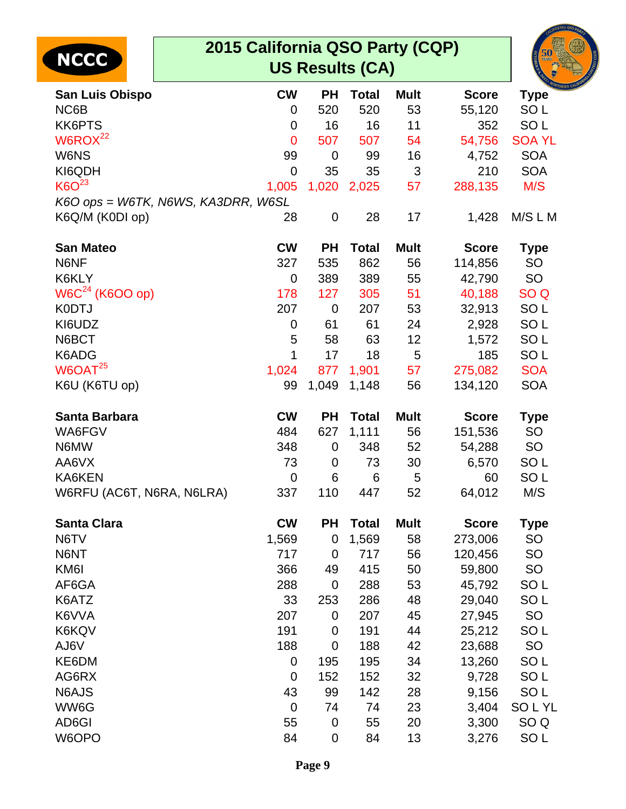| 2015 California QSO Party (CQP)<br><b>NCCC</b><br><b>US Results (CA)</b> |                  |                  |              |             |              |                 |  |  |
|--------------------------------------------------------------------------|------------------|------------------|--------------|-------------|--------------|-----------------|--|--|
| <b>San Luis Obispo</b>                                                   | <b>CW</b>        | <b>PH</b>        | <b>Total</b> | <b>Mult</b> | <b>Score</b> | <b>Type</b>     |  |  |
| NC6B                                                                     | 0                | 520              | 520          | 53          | 55,120       | SO <sub>L</sub> |  |  |
| <b>KK6PTS</b>                                                            | 0                | 16               | 16           | 11          | 352          | SO <sub>L</sub> |  |  |
| W6ROX <sup>22</sup>                                                      | $\overline{0}$   | 507              | 507          | 54          | 54,756       | <b>SOA YL</b>   |  |  |
| W6NS                                                                     | 99               | $\mathbf 0$      | 99           | 16          | 4,752        | <b>SOA</b>      |  |  |
| KI6QDH                                                                   | $\overline{0}$   | 35               | 35           | 3           | 210          | <b>SOA</b>      |  |  |
| K6O <sup>23</sup>                                                        | 1,005            | 1,020            | 2,025        | 57          | 288,135      | M/S             |  |  |
| K6O ops = W6TK, N6WS, KA3DRR, W6SL                                       |                  |                  |              |             |              |                 |  |  |
| K6Q/M (K0DI op)                                                          | 28               | $\mathbf 0$      | 28           | 17          | 1,428        | M/S L M         |  |  |
| <b>San Mateo</b>                                                         | <b>CW</b>        | <b>PH</b>        | <b>Total</b> | <b>Mult</b> | <b>Score</b> | <b>Type</b>     |  |  |
| N6NF                                                                     | 327              | 535              | 862          | 56          | 114,856      | <b>SO</b>       |  |  |
| K6KLY                                                                    | $\mathbf 0$      | 389              | 389          | 55          | 42,790       | <b>SO</b>       |  |  |
| $W6C24$ (K6OO op)                                                        | 178              | 127              | 305          | 51          | 40,188       | SO <sub>Q</sub> |  |  |
| <b>K0DTJ</b>                                                             | 207              | $\overline{0}$   | 207          | 53          | 32,913       | SO <sub>L</sub> |  |  |
| KI6UDZ                                                                   | 0                | 61               | 61           | 24          | 2,928        | SO <sub>L</sub> |  |  |
| N6BCT                                                                    | 5                | 58               | 63           | 12          | 1,572        | SO <sub>L</sub> |  |  |
| K6ADG                                                                    | 1                | 17               | 18           | 5           | 185          | SO <sub>L</sub> |  |  |
| W6OAT <sup>25</sup>                                                      | 1,024            | 877              | 1,901        | 57          | 275,082      | <b>SOA</b>      |  |  |
| K6U (K6TU op)                                                            | 99               | 1,049            | 1,148        | 56          | 134,120      | <b>SOA</b>      |  |  |
| <b>Santa Barbara</b>                                                     | <b>CW</b>        | <b>PH</b>        | <b>Total</b> | <b>Mult</b> | <b>Score</b> | <b>Type</b>     |  |  |
| WA6FGV                                                                   | 484              | 627              | 1,111        | 56          | 151,536      | <b>SO</b>       |  |  |
| N6MW                                                                     | 348              | $\mathbf 0$      | 348          | 52          | 54,288       | <b>SO</b>       |  |  |
| AA6VX                                                                    | 73               | 0                | 73           | 30          | 6,570        | SO <sub>L</sub> |  |  |
| KA6KEN                                                                   | $\mathbf 0$      | 6                | 6            | 5           | 60           | SO <sub>L</sub> |  |  |
| W6RFU (AC6T, N6RA, N6LRA)                                                | 337              | 110              | 447          | 52          | 64,012       | M/S             |  |  |
| <b>Santa Clara</b>                                                       | <b>CW</b>        | <b>PH</b>        | <b>Total</b> | <b>Mult</b> | <b>Score</b> | <b>Type</b>     |  |  |
| N6TV                                                                     | 1,569            | $\mathbf 0$      | 1,569        | 58          | 273,006      | <b>SO</b>       |  |  |
| N6NT                                                                     | 717              | $\mathbf 0$      | 717          | 56          | 120,456      | <b>SO</b>       |  |  |
| KM6I                                                                     | 366              | 49               | 415          | 50          | 59,800       | <b>SO</b>       |  |  |
| AF6GA                                                                    | 288              | $\mathbf 0$      | 288          | 53          | 45,792       | SO <sub>L</sub> |  |  |
| K6ATZ                                                                    | 33               | 253              | 286          | 48          | 29,040       | SO <sub>L</sub> |  |  |
| K6VVA                                                                    | 207              | 0                | 207          | 45          | 27,945       | <b>SO</b>       |  |  |
| K6KQV                                                                    | 191              | $\mathbf 0$      | 191          | 44          | 25,212       | SO <sub>L</sub> |  |  |
| AJ6V                                                                     | 188              | $\mathbf 0$      | 188          | 42          | 23,688       | <b>SO</b>       |  |  |
| KE6DM                                                                    | $\boldsymbol{0}$ | 195              | 195          | 34          | 13,260       | SO <sub>L</sub> |  |  |
| AG6RX                                                                    | $\mathbf 0$      | 152              | 152          | 32          | 9,728        | SO <sub>L</sub> |  |  |
| N6AJS                                                                    | 43               | 99               | 142          | 28          | 9,156        | SO <sub>L</sub> |  |  |
| WW6G                                                                     | $\mathbf 0$      | 74               | 74           | 23          | 3,404        | SOLYL           |  |  |
| AD6GI                                                                    | 55               | $\boldsymbol{0}$ | 55           | 20          | 3,300        | SO <sub>Q</sub> |  |  |
| W6OPO                                                                    | 84               | $\boldsymbol{0}$ | 84           | 13          | 3,276        | SO <sub>L</sub> |  |  |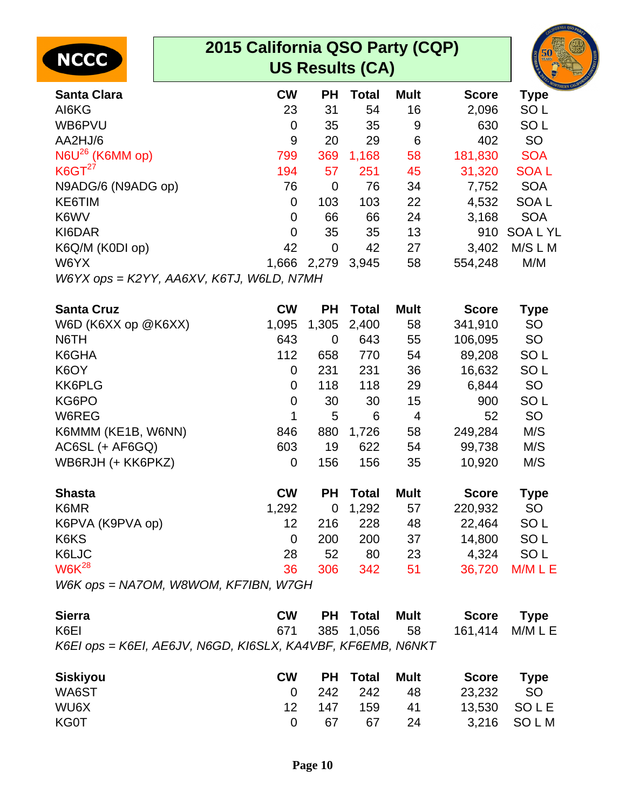| <b>TNCCC</b> |
|--------------|
|--------------|



|                                            |           |                |              |             |              | <b>ORTHEI</b>    |  |  |  |
|--------------------------------------------|-----------|----------------|--------------|-------------|--------------|------------------|--|--|--|
| <b>Santa Clara</b>                         | <b>CW</b> | <b>PH</b>      | <b>Total</b> | <b>Mult</b> | <b>Score</b> | <b>Type</b>      |  |  |  |
| AI6KG                                      | 23        | 31             | 54           | 16          | 2,096        | SO <sub>L</sub>  |  |  |  |
| WB6PVU                                     | 0         | 35             | 35           | 9           | 630          | SO <sub>L</sub>  |  |  |  |
| AA2HJ/6                                    | 9         | 20             | 29           | 6           | 402          | <b>SO</b>        |  |  |  |
| $N6U^{26}$ (K6MM op)                       | 799       | 369            | 1,168        | 58          | 181,830      | <b>SOA</b>       |  |  |  |
| $K6GT^{27}$                                | 194       | 57             | 251          | 45          | 31,320       | <b>SOAL</b>      |  |  |  |
| N9ADG/6 (N9ADG op)                         | 76        | $\overline{0}$ | 76           | 34          | 7,752        | <b>SOA</b>       |  |  |  |
| KE6TIM                                     | 0         | 103            | 103          | 22          | 4,532        | SOA <sub>L</sub> |  |  |  |
| K6WV                                       | 0         | 66             | 66           | 24          | 3.168        | <b>SOA</b>       |  |  |  |
| KI6DAR                                     | 0         | 35             | 35           | 13          | 910          | <b>SOALYL</b>    |  |  |  |
| K6Q/M (K0DI op)                            | 42        | $\overline{0}$ | 42           | 27          | 3,402        | M/S L M          |  |  |  |
| W6YX                                       | 1,666     | 2,279          | 3,945        | 58          | 554,248      | M/M              |  |  |  |
| $W6YX$ ops = K2YY, AA6XV, K6TJ, W6LD, N7MH |           |                |              |             |              |                  |  |  |  |

| <b>Santa Cruz</b>                                                                              | <b>CW</b> | PН    | <b>Total</b> | <b>Mult</b> | <b>Score</b> | <b>Type</b>     |
|------------------------------------------------------------------------------------------------|-----------|-------|--------------|-------------|--------------|-----------------|
| W6D (K6XX op @K6XX)                                                                            | 1,095     | 1,305 | 2,400        | 58          | 341,910      | <b>SO</b>       |
| N6TH                                                                                           | 643       | 0     | 643          | 55          | 106,095      | <b>SO</b>       |
| K6GHA                                                                                          | 112       | 658   | 770          | 54          | 89,208       | SO <sub>L</sub> |
| K6OY                                                                                           | 0         | 231   | 231          | 36          | 16,632       | SO <sub>L</sub> |
| <b>KK6PLG</b>                                                                                  | 0         | 118   | 118          | 29          | 6,844        | <b>SO</b>       |
| KG6PO                                                                                          | 0         | 30    | 30           | 15          | 900          | SO <sub>L</sub> |
| W6REG                                                                                          | 1         | 5     | 6            | 4           | 52           | <b>SO</b>       |
| K6MMM (KE1B, W6NN)                                                                             | 846       | 880   | 1,726        | 58          | 249,284      | M/S             |
| AC6SL (+ AF6GQ)                                                                                | 603       | 19    | 622          | 54          | 99,738       | M/S             |
| WB6RJH (+ KK6PKZ)                                                                              | 0         | 156   | 156          | 35          | 10,920       | M/S             |
| <b>Shasta</b>                                                                                  | <b>CW</b> | PН    | Total        | <b>Mult</b> | <b>Score</b> | <b>Type</b>     |
| K6MR                                                                                           | 1,292     | 0     | 1,292        | 57          | 220,932      | <b>SO</b>       |
| K6PVA (K9PVA op)                                                                               | 12        | 216   | 228          | 48          | 22,464       | SO <sub>L</sub> |
| K6KS                                                                                           | 0         | 200   | 200          | 37          | 14,800       | SO <sub>L</sub> |
| K6LJC                                                                                          | 28        | 52    | 80           | 23          | 4,324        | SO <sub>L</sub> |
| $W6K^{28}$                                                                                     | 36        | 306   | 342          | 51          | 36,720       | M/M L E         |
| 111017<br>$\begin{array}{c} \hline \text{M11} & \text{M11} & \text{M11} \\ \hline \end{array}$ |           |       |              |             |              |                 |

W6K ops = NA7OM, W8WOM, KF7IBN, W7GH

| <b>Sierra</b>                                               | <b>CW</b> | <b>PH</b> Total  | Mult |                 | Score Type |
|-------------------------------------------------------------|-----------|------------------|------|-----------------|------------|
| K6EI                                                        |           | 671 385 1.056 58 |      | 161,414 M/M L E |            |
| K6EI ops = K6EI, AE6JV, N6GD, KI6SLX, KA4VBF, KF6EMB, N6NKT |           |                  |      |                 |            |

| <b>Siskiyou</b> | <b>CW</b> |     | <b>PH</b> Total | Mult | <b>Score</b> | <b>Type</b> |
|-----------------|-----------|-----|-----------------|------|--------------|-------------|
| WA6ST           |           |     | 0 242 242       | -48  | 23,232       | - SO        |
| WU6X            | 12.       | 147 | 159             | -41  |              | 13,530 SOLE |
| <b>KG0T</b>     | $\Omega$  | -67 | 67              | - 24 |              | 3,216 SOLM  |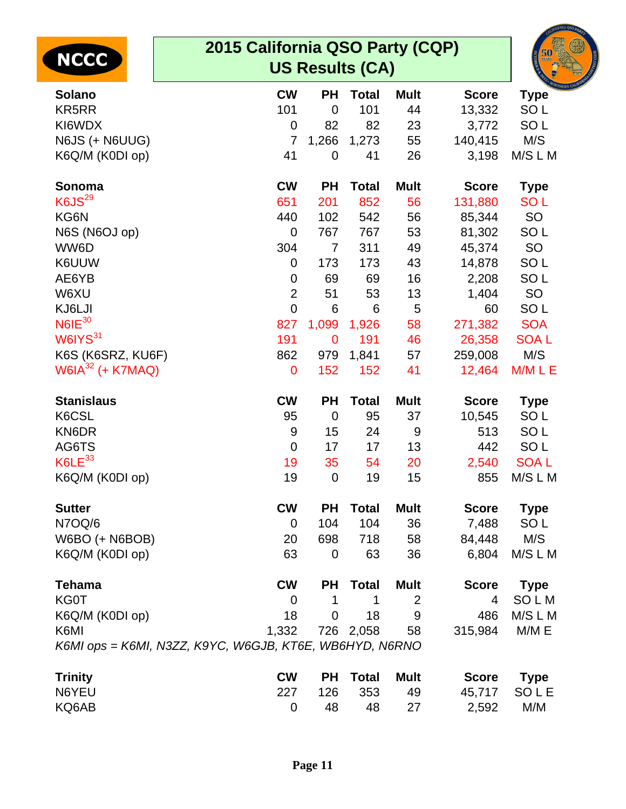| <b>NCCC</b>                                             |                |                |               |                |              |                 |  |  |  |  |  |
|---------------------------------------------------------|----------------|----------------|---------------|----------------|--------------|-----------------|--|--|--|--|--|
| <b>US Results (CA)</b>                                  |                |                |               |                |              |                 |  |  |  |  |  |
| <b>Solano</b>                                           | <b>CW</b>      | <b>PH</b>      | <b>Total</b>  | <b>Mult</b>    | <b>Score</b> | <b>Type</b>     |  |  |  |  |  |
| <b>KR5RR</b>                                            | 101            | $\Omega$       | 101           | 44             | 13,332       | SO <sub>L</sub> |  |  |  |  |  |
| KI6WDX                                                  | $\mathbf 0$    | 82             | 82            | 23             | 3,772        | SO <sub>L</sub> |  |  |  |  |  |
| N6JS (+ N6UUG)                                          | $\overline{7}$ | 1,266          | 1,273         | 55             | 140,415      | M/S             |  |  |  |  |  |
| K6Q/M (K0DI op)                                         | 41             | $\mathbf 0$    | 41            | 26             | 3,198        | M/S L M         |  |  |  |  |  |
| Sonoma                                                  | <b>CW</b>      | <b>PH</b>      | <b>Total</b>  | <b>Mult</b>    | <b>Score</b> | <b>Type</b>     |  |  |  |  |  |
| K6JS <sup>29</sup>                                      | 651            | 201            | 852           | 56             | 131,880      | SO <sub>L</sub> |  |  |  |  |  |
| KG6N                                                    | 440            | 102            | 542           | 56             | 85,344       | <b>SO</b>       |  |  |  |  |  |
| N6S (N6OJ op)                                           | $\mathbf 0$    | 767            | 767           | 53             | 81,302       | SO <sub>L</sub> |  |  |  |  |  |
| WW6D                                                    | 304            | $\overline{7}$ | 311           | 49             | 45,374       | <b>SO</b>       |  |  |  |  |  |
| K6UUW                                                   | 0              | 173            | 173           | 43             | 14,878       | SO <sub>L</sub> |  |  |  |  |  |
| AE6YB                                                   | $\mathbf 0$    | 69             | 69            | 16             | 2,208        | SO <sub>L</sub> |  |  |  |  |  |
| W6XU                                                    | $\overline{2}$ | 51             | 53            | 13             | 1,404        | <b>SO</b>       |  |  |  |  |  |
| KJ6LJI                                                  | $\mathbf 0$    | 6              | 6             | 5              | 60           | SO <sub>L</sub> |  |  |  |  |  |
| $N6IE^{30}$                                             | 827            | 1,099          | 1,926         | 58             | 271,382      | <b>SOA</b>      |  |  |  |  |  |
| W6IYS <sup>31</sup>                                     | 191            | $\mathbf 0$    | 191           | 46             | 26,358       | <b>SOAL</b>     |  |  |  |  |  |
| K6S (K6SRZ, KU6F)                                       | 862            | 979            | 1,841         | 57             | 259,008      | M/S             |  |  |  |  |  |
| W6IA $32$ (+ K7MAQ)                                     | $\mathbf 0$    | 152            | 152           | 41             | 12,464       | M/M L E         |  |  |  |  |  |
| <b>Stanislaus</b>                                       | <b>CW</b>      | <b>PH</b>      | <b>Total</b>  | <b>Mult</b>    | <b>Score</b> | <b>Type</b>     |  |  |  |  |  |
| K6CSL                                                   | 95             | $\overline{0}$ | 95            | 37             | 10,545       | SO <sub>L</sub> |  |  |  |  |  |
| KN6DR                                                   | 9              | 15             | 24            | 9              | 513          | SO <sub>L</sub> |  |  |  |  |  |
| AG6TS                                                   | $\mathbf 0$    | 17             | 17            | 13             | 442          | SO <sub>L</sub> |  |  |  |  |  |
| $K6LE^{33}$                                             | 19             | 35             | 54            | 20             | 2,540        | <b>SOAL</b>     |  |  |  |  |  |
| K6Q/M (K0DI op)                                         | 19             | $\mathbf 0$    | 19            | 15             | 855          | M/S L M         |  |  |  |  |  |
| <b>Sutter</b>                                           | <b>CW</b>      | <b>PH</b>      | <b>Total</b>  | <b>Mult</b>    | <b>Score</b> | <b>Type</b>     |  |  |  |  |  |
| N7OQ/6                                                  | $\overline{0}$ | 104            | 104           | 36             | 7,488        | SO <sub>L</sub> |  |  |  |  |  |
| W6BO (+ N6BOB)                                          | 20             | 698            | 718           | 58             | 84,448       | M/S             |  |  |  |  |  |
| K6Q/M (K0DI op)                                         | 63             | 0              | 63            | 36             | 6,804        | M/S L M         |  |  |  |  |  |
| <b>Tehama</b>                                           | <b>CW</b>      | <b>PH</b>      | <b>Total</b>  | <b>Mult</b>    | <b>Score</b> | <b>Type</b>     |  |  |  |  |  |
| <b>KG0T</b>                                             | $\mathbf 0$    | 1              | 1             | $\overline{2}$ | 4            | <b>SOLM</b>     |  |  |  |  |  |
| K6Q/M (K0DI op)                                         | 18             | $\overline{0}$ | 18            | 9              | 486          | M/S L M         |  |  |  |  |  |
| K6MI                                                    | 1,332          |                | 726 2,058     | 58             | 315,984      | M/M E           |  |  |  |  |  |
| K6MI ops = K6MI, N3ZZ, K9YC, W6GJB, KT6E, WB6HYD, N6RNO |                |                |               |                |              |                 |  |  |  |  |  |
| <b>Trinity</b>                                          | $\mathbf{C}$ W |                | PH Total Mult |                | Score        | Tyne            |  |  |  |  |  |

| <b>Trinity</b> |  | <b>CW</b> PH Total | Mult | Score Type  |  |
|----------------|--|--------------------|------|-------------|--|
| N6YEU          |  | 227 126 353 49     |      | 45,717 SOLE |  |
| KQ6AB          |  | 48 48 27           |      | 2.592 M/M   |  |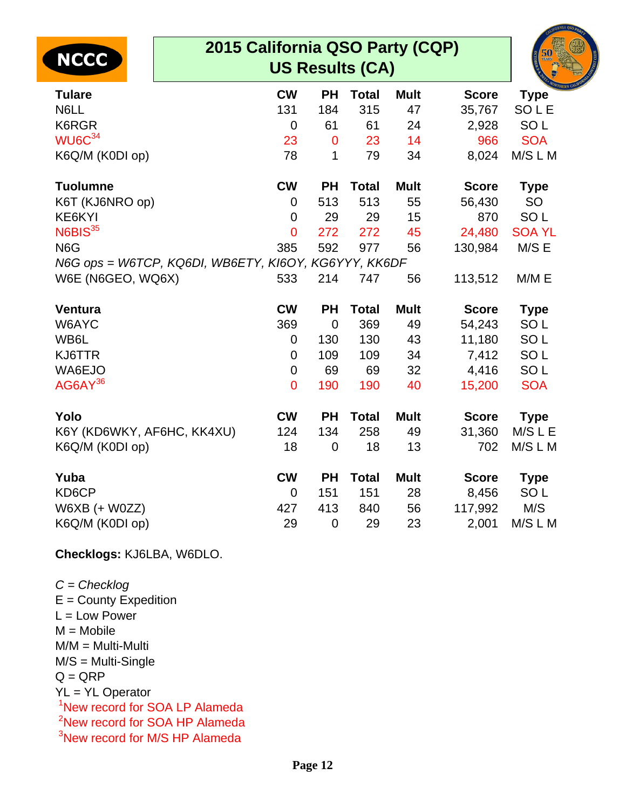| 2015 California QSO Party (CQP)<br><b>NCCC</b><br><b>US Results (CA)</b> |                |             |              |             |              |                 |  |  |  |
|--------------------------------------------------------------------------|----------------|-------------|--------------|-------------|--------------|-----------------|--|--|--|
| <b>Tulare</b>                                                            | <b>CW</b>      | <b>PH</b>   | <b>Total</b> | <b>Mult</b> | <b>Score</b> | <b>Type</b>     |  |  |  |
| N6LL                                                                     | 131            | 184         | 315          | 47          | 35,767       | SOLE            |  |  |  |
| K6RGR                                                                    | $\overline{0}$ | 61          | 61           | 24          | 2,928        | SO <sub>L</sub> |  |  |  |
| WU6C <sup>34</sup>                                                       | 23             | $\mathbf 0$ | 23           | 14          | 966          | <b>SOA</b>      |  |  |  |
| K6Q/M (K0DI op)                                                          | 78             | 1           | 79           | 34          | 8,024        | M/S L M         |  |  |  |
| <b>Tuolumne</b>                                                          | <b>CW</b>      | <b>PH</b>   | <b>Total</b> | <b>Mult</b> | <b>Score</b> | <b>Type</b>     |  |  |  |
| K6T (KJ6NRO op)                                                          | $\mathbf 0$    | 513         | 513          | 55          | 56,430       | SO              |  |  |  |
| KE6KYI                                                                   | $\mathbf 0$    | 29          | 29           | 15          | 870          | SO <sub>L</sub> |  |  |  |
| N6BIS <sup>35</sup>                                                      | $\overline{0}$ | 272         | 272          | 45          | 24,480       | <b>SOA YL</b>   |  |  |  |
| N <sub>6</sub> G                                                         | 385            | 592         | 977          | 56          | 130,984      | M/S E           |  |  |  |
| N6G ops = W6TCP, KQ6DI, WB6ETY, KI6OY, KG6YYY, KK6DF                     |                |             |              |             |              |                 |  |  |  |
| W6E (N6GEO, WQ6X)                                                        | 533            | 214         | 747          | 56          | 113,512      | M/M E           |  |  |  |
| <b>Ventura</b>                                                           | <b>CW</b>      | <b>PH</b>   | <b>Total</b> | <b>Mult</b> | <b>Score</b> | <b>Type</b>     |  |  |  |
| W6AYC                                                                    | 369            | $\mathbf 0$ | 369          | 49          | 54,243       | SO <sub>L</sub> |  |  |  |
| WB6L                                                                     | $\mathbf 0$    | 130         | 130          | 43          | 11,180       | SO <sub>L</sub> |  |  |  |
| KJ6TTR                                                                   | $\mathbf 0$    | 109         | 109          | 34          | 7,412        | SO <sub>L</sub> |  |  |  |
| WA6EJO                                                                   | $\mathbf 0$    | 69          | 69           | 32          | 4,416        | SO <sub>L</sub> |  |  |  |
| AG6AY <sup>36</sup>                                                      | $\overline{0}$ | 190         | 190          | 40          | 15,200       | <b>SOA</b>      |  |  |  |
| Yolo                                                                     | <b>CW</b>      | <b>PH</b>   | <b>Total</b> | <b>Mult</b> | <b>Score</b> | <b>Type</b>     |  |  |  |
| K6Y (KD6WKY, AF6HC, KK4XU)                                               | 124            | 134         | 258          | 49          | 31,360       | M/S L E         |  |  |  |
| K6Q/M (K0DI op)                                                          | 18             | $\mathbf 0$ | 18           | 13          | 702          | M/S L M         |  |  |  |
| Yuba                                                                     | <b>CW</b>      | <b>PH</b>   | <b>Total</b> | <b>Mult</b> | <b>Score</b> | <b>Type</b>     |  |  |  |
| KD6CP                                                                    | $\mathbf 0$    | 151         | 151          | 28          | 8,456        | SO <sub>L</sub> |  |  |  |
| W6XB (+ W0ZZ)                                                            | 427            | 413         | 840          | 56          | 117,992      | M/S             |  |  |  |
| K6Q/M (K0DI op)                                                          | 29             | $\mathbf 0$ | 29           | 23          | 2,001        | M/S L M         |  |  |  |

**Checklogs:** KJ6LBA, W6DLO.

 $C =$ Checklog  $E =$  County Expedition  $L = Low Power$  $M = Mobile$ M/M = Multi-Multi M/S = Multi-Single  $Q = QRP$ YL = YL Operator <sup>1</sup>New record for SOA LP Alameda <sup>2</sup>New record for SOA HP Alameda <sup>3</sup>New record for M/S HP Alameda